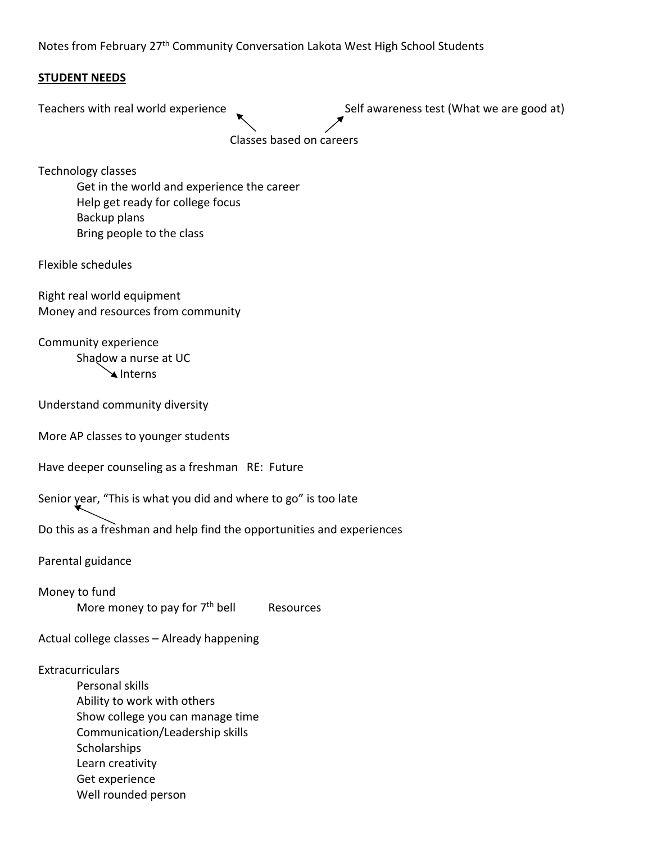Notes from February 27th Community Conversation Lakota West High School Students

## **STUDENT NEEDS**

Teachers with real world experience **Summan and Self awareness test (What we are good at)**  Classes based on careers Technology classes

Get in the world and experience the career Help get ready for college focus Backup plans Bring people to the class

Flexible schedules

Right real world equipment Money and resources from community

Community experience Shadow a nurse at UC Interns

Understand community diversity

More AP classes to younger students

Have deeper counseling as a freshman RE: Future

Senior year, "This is what you did and where to go" is too late

Do this as a freshman and help find the opportunities and experiences

Parental guidance

Money to fund More money to pay for  $7<sup>th</sup>$  bell Resources

Actual college classes – Already happening

**Extracurriculars** 

Personal skills Ability to work with others Show college you can manage time Communication/Leadership skills **Scholarships** Learn creativity Get experience Well rounded person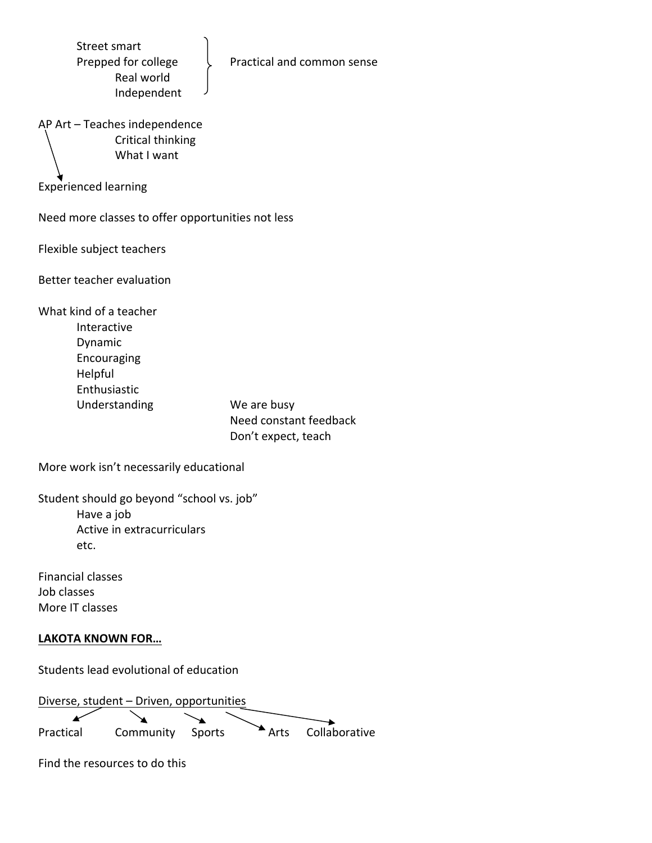| <b>Street smart</b><br>Prepped for college<br>Practical and common sense<br>Real world<br>Independent                                                                       |
|-----------------------------------------------------------------------------------------------------------------------------------------------------------------------------|
| AP Art - Teaches independence<br>Critical thinking<br>What I want                                                                                                           |
| <b>Experienced learning</b>                                                                                                                                                 |
| Need more classes to offer opportunities not less                                                                                                                           |
| Flexible subject teachers                                                                                                                                                   |
| Better teacher evaluation                                                                                                                                                   |
| What kind of a teacher<br>Interactive<br>Dynamic<br>Encouraging<br>Helpful<br>Enthusiastic<br>Understanding<br>We are busy<br>Need constant feedback<br>Don't expect, teach |
| More work isn't necessarily educational                                                                                                                                     |
| Student should go beyond "school vs. job"<br>Have a job<br>Active in extracurriculars<br>etc.                                                                               |
| <b>Financial classes</b><br>Job classes<br>More IT classes                                                                                                                  |

## **LAKOTA KNOWN FOR…**

Students lead evolutional of education

Diverse, student – Driven, opportunities x Practical Community Sports Arts Collaborative

Find the resources to do this